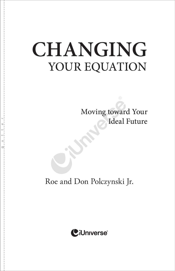# **CHANGING** YOUR EQUATION

Moving toward Your Ideal Future

Roe and Don Polczynski Jr.

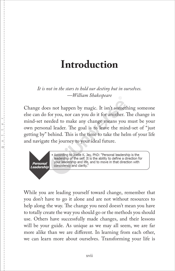# **Introduction**

*It is not in the stars to hold our destiny but in ourselves. —William Shakespeare*

Change does not happen by magic. It isn't something someone else can do for you, nor can you do it for another. The change in mind-set needed to make any change means you must be your own personal leader. The goal is to leave the mind-set of "just getting by" behind. This is the time to take the helm of your life and navigate the journey to your ideal future.

**Personal** Leadership According to Joelle K. Jay, PhD: "Personal leadership is the<br>leadership of the self. It is the ability to define a direction for your leadership and life, and to move in that direction with consistency and clarity.'

While you are leading yourself toward change, remember that you don't have to go it alone and are not without resources to help along the way. The change you need doesn't mean you have to totally create the way you should go or the methods you should use. Others have successfully made changes, and their lessons will be your guide. As unique as we may all seem, we are far more alike than we are different. In learning from each other, we can learn more about ourselves. Transforming your life is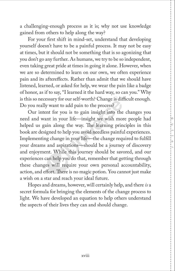a challenging-enough process as it is; why not use knowledge gained from others to help along the way?

For your first shift in mind-set, understand that developing yourself doesn't have to be a painful process. It may not be easy at times, but it should not be something that is so agonizing that you don't go any further. As humans, we try to be so independent, even taking great pride at times in going it alone. However, when we are so determined to learn on our own, we often experience pain and its aftereffects. Rather than admit that we should have listened, learned, or asked for help, we wear the pain like a badge of honor, as if to say, "I learned it the hard way, so can you." Why is this so necessary for our self-worth? Change is difficult enough. Do you really want to add pain to the process?

Our intent for you is to gain insight into the changes you need and want in your life—insight we wish more people had helped us gain along the way. The learning principles in this book are designed to help you avoid needless painful experiences. Implementing change in your life—the change required to fulfill your dreams and aspirations—should be a journey of discovery and enjoyment. While this journey should be savored, and our experiences can help you do that, remember that getting through these changes will require your own personal accountability, action, and effort. There is no magic potion. You cannot just make a wish on a star and reach your ideal future.

Hopes and dreams, however, will certainly help, and there *is* a secret formula for bringing the elements of the change process to light. We have developed an equation to help others understand the aspects of their lives they can and should change.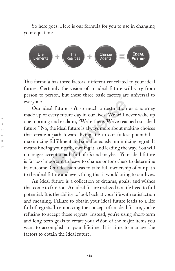So here goes. Here is our formula for you to use in changing your equation:



This formula has three factors, different yet related to your ideal future. Certainly the vision of an ideal future will vary from person to person, but these three basic factors are universal to everyone.

Our ideal future isn't so much a destination as a journey made up of every future day in our lives. We will never wake up one morning and exclaim, "We're there. We've reached our ideal future!" No, the ideal future is always more about making choices that create a path toward living life to our fullest potential maximizing fulfillment and simultaneously minimizing regret. It means finding your path, owning it, and leading the way. You will no longer accept a path full of ifs and maybes. Your ideal future is far too important to leave to chance or for others to determine its outcome. Our decision was to take full ownership of our path to the ideal future and everything that it would bring to our lives.

An ideal future is a collection of dreams, goals, and wishes that come to fruition. An ideal future realized is a life lived to full potential. It is the ability to look back at your life with satisfaction and meaning. Failure to obtain your ideal future leads to a life full of regrets. In embracing the concept of an ideal future, you're refusing to accept those regrets. Instead, you're using short-term and long-term goals to create your vision of the major items you want to accomplish in your lifetime. It is time to manage the factors to obtain the ideal future.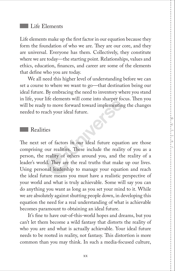### **Life Elements**

Life elements make up the first factor in our equation because they form the foundation of who we are. They are our core, and they are universal. Everyone has them. Collectively, they constitute where we are today—the starting point. Relationships, values and ethics, education, finances, and career are some of the elements that define who you are today.

We all need this higher level of understanding before we can set a course to where we want to go—that destination being our ideal future. By embracing the need to inventory where you stand in life, your life elements will come into sharper focus. Then you will be ready to move forward toward implementing the changes needed to reach your ideal future.

#### **Realities**

The next set of factors in our ideal future equation are those comprising our realities. These include the reality of you as a person, the reality of others around you, and the reality of a leader's world. They are the real truths that make up our lives. Using personal leadership to manage your equation and reach the ideal future means you must have a realistic perspective of your world and what is truly achievable. Some will say you can do anything you want as long as you set your mind to it. While we are absolutely against shutting people down, in developing this equation the need for a real understanding of what is achievable becomes paramount to obtaining an ideal future.

It's fine to have out-of-this-world hopes and dreams, but you can't let them become a wild fantasy that distorts the reality of who you are and what is actually achievable. Your ideal future needs to be rooted in reality, not fantasy. This distortion is more common than you may think. In such a media-focused culture,

xx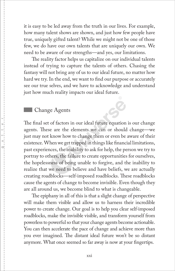it is easy to be led away from the truth in our lives. For example, how many talent shows are shown, and just how few people have true, uniquely gifted talent? While we might not be one of those few, we do have our own talents that are uniquely our own. We need to be aware of our strengths—and yes, our limitations.

The reality factor helps us capitalize on our individual talents instead of trying to capture the talents of others. Chasing the fantasy will not bring any of us to our ideal future, no matter how hard we try. In the end, we want to find our purpose or accurately see our true selves, and we have to acknowledge and understand just how much reality impacts our ideal future.

### **Change Agents**

The final set of factors in our ideal future equation is our change agents. These are the elements we can or should change—we just may not know how to change them or even be aware of their existence. When we get trapped in things like financial limitations, past experiences, the inability to ask for help, the person we try to portray to others, the failure to create opportunities for ourselves, the hopelessness of being unable to forgive, and the inability to realize that we need to believe and have beliefs, we are actually creating roadblocks—self-imposed roadblocks. These roadblocks cause the agents of change to become invisible. Even though they are all around us, we become blind to what is changeable.

The epiphany in all of this is that a slight change of perspective will make them visible and allow us to harness their incredible power to create change. Our goal is to help you clear self-imposed roadblocks, make the invisible visible, and transform yourself from powerless to powerful so that your change agents become actionable. You can then accelerate the pace of change and achieve more than you ever imagined. The distant ideal future won't be so distant anymore. What once seemed so far away is now at your fingertips.